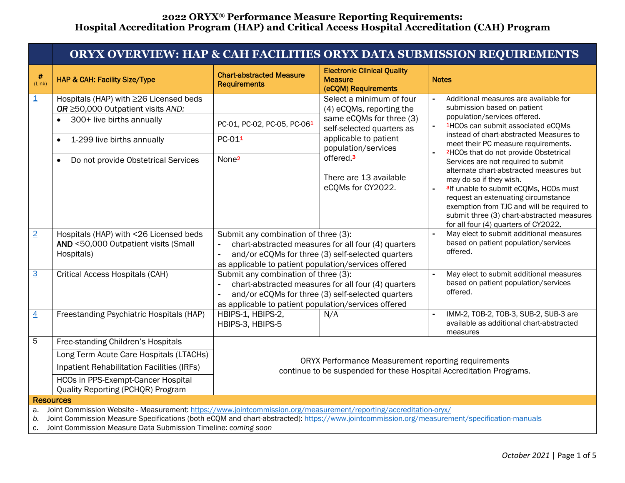|                         | ORYX OVERVIEW: HAP & CAH FACILITIES ORYX DATA SUBMISSION REQUIREMENTS                                                                                                                                                                                                                                                              |                                                                                                                |                                                                                                          |                                                                                                                                                                                                                                                                                                                                           |  |  |  |  |
|-------------------------|------------------------------------------------------------------------------------------------------------------------------------------------------------------------------------------------------------------------------------------------------------------------------------------------------------------------------------|----------------------------------------------------------------------------------------------------------------|----------------------------------------------------------------------------------------------------------|-------------------------------------------------------------------------------------------------------------------------------------------------------------------------------------------------------------------------------------------------------------------------------------------------------------------------------------------|--|--|--|--|
| $\#$<br>(Link)          | HAP & CAH: Facility Size/Type                                                                                                                                                                                                                                                                                                      | <b>Chart-abstracted Measure</b><br><b>Requirements</b>                                                         | <b>Electronic Clinical Quality</b><br><b>Measure</b><br>(eCQM) Requirements                              | <b>Notes</b>                                                                                                                                                                                                                                                                                                                              |  |  |  |  |
| $\overline{\mathbf{1}}$ | Hospitals (HAP) with ≥26 Licensed beds<br>OR ≥50,000 Outpatient visits AND:                                                                                                                                                                                                                                                        |                                                                                                                | Select a minimum of four<br>(4) eCQMs, reporting the                                                     | Additional measures are available for<br>submission based on patient                                                                                                                                                                                                                                                                      |  |  |  |  |
|                         | 300+ live births annually<br>$\bullet$                                                                                                                                                                                                                                                                                             | PC-01, PC-02, PC-05, PC-061                                                                                    | same eCQMs for three (3)<br>self-selected quarters as                                                    | population/services offered.<br><sup>1</sup> HCOs can submit associated eCQMs<br>instead of chart-abstracted Measures to<br>meet their PC measure requirements.<br><sup>2</sup> HCOs that do not provide Obstetrical                                                                                                                      |  |  |  |  |
|                         | 1-299 live births annually                                                                                                                                                                                                                                                                                                         | PC-011                                                                                                         | applicable to patient<br>population/services                                                             |                                                                                                                                                                                                                                                                                                                                           |  |  |  |  |
|                         | Do not provide Obstetrical Services                                                                                                                                                                                                                                                                                                | None <sup>2</sup>                                                                                              | offered. <sup>3</sup><br>There are 13 available<br>eCQMs for CY2022.                                     | Services are not required to submit<br>alternate chart-abstracted measures but<br>may do so if they wish.<br><sup>3</sup> If unable to submit eCQMs, HCOs must<br>request an extenuating circumstance<br>exemption from TJC and will be required to<br>submit three (3) chart-abstracted measures<br>for all four (4) quarters of CY2022. |  |  |  |  |
| $\overline{2}$          | Hospitals (HAP) with <26 Licensed beds<br>AND <50,000 Outpatient visits (Small<br>Hospitals)                                                                                                                                                                                                                                       | Submit any combination of three (3):<br>÷,<br>ä,<br>as applicable to patient population/services offered       | chart-abstracted measures for all four (4) quarters<br>and/or eCQMs for three (3) self-selected quarters | May elect to submit additional measures<br>based on patient population/services<br>offered.                                                                                                                                                                                                                                               |  |  |  |  |
| $\overline{3}$          | Critical Access Hospitals (CAH)                                                                                                                                                                                                                                                                                                    | Submit any combination of three (3):<br>$\blacksquare$<br>as applicable to patient population/services offered | chart-abstracted measures for all four (4) quarters<br>and/or eCQMs for three (3) self-selected quarters | May elect to submit additional measures<br>based on patient population/services<br>offered.                                                                                                                                                                                                                                               |  |  |  |  |
| $\overline{4}$          | Freestanding Psychiatric Hospitals (HAP)                                                                                                                                                                                                                                                                                           | HBIPS-1, HBIPS-2,<br>HBIPS-3, HBIPS-5                                                                          | N/A                                                                                                      | IMM-2, TOB-2, TOB-3, SUB-2, SUB-3 are<br>available as additional chart-abstracted<br>measures                                                                                                                                                                                                                                             |  |  |  |  |
| 5                       | Free-standing Children's Hospitals                                                                                                                                                                                                                                                                                                 |                                                                                                                |                                                                                                          |                                                                                                                                                                                                                                                                                                                                           |  |  |  |  |
|                         | Long Term Acute Care Hospitals (LTACHs)                                                                                                                                                                                                                                                                                            |                                                                                                                |                                                                                                          |                                                                                                                                                                                                                                                                                                                                           |  |  |  |  |
|                         | Inpatient Rehabilitation Facilities (IRFs)                                                                                                                                                                                                                                                                                         |                                                                                                                | ORYX Performance Measurement reporting requirements                                                      | continue to be suspended for these Hospital Accreditation Programs.                                                                                                                                                                                                                                                                       |  |  |  |  |
|                         | <b>HCOs in PPS-Exempt-Cancer Hospital</b><br>Quality Reporting (PCHQR) Program                                                                                                                                                                                                                                                     |                                                                                                                |                                                                                                          |                                                                                                                                                                                                                                                                                                                                           |  |  |  |  |
|                         | <b>Resources</b>                                                                                                                                                                                                                                                                                                                   |                                                                                                                |                                                                                                          |                                                                                                                                                                                                                                                                                                                                           |  |  |  |  |
| a.<br>b.<br>c.          | Joint Commission Website - Measurement: https://www.jointcommission.org/measurement/reporting/accreditation-oryx/<br>Joint Commission Measure Specifications (both eCQM and chart-abstracted): https://www.jointcommission.org/measurement/specification-manuals<br>Joint Commission Measure Data Submission Timeline: coming soon |                                                                                                                |                                                                                                          |                                                                                                                                                                                                                                                                                                                                           |  |  |  |  |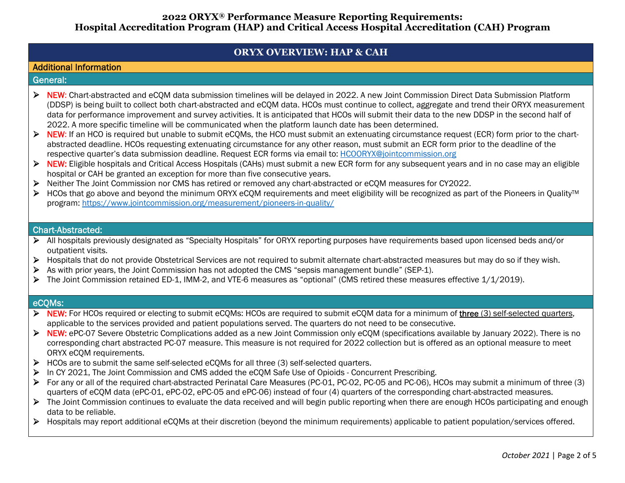# **ORYX OVERVIEW: HAP & CAH**

## Additional Information

### General:

- ▶ NEW: Chart-abstracted and eCQM data submission timelines will be delayed in 2022. A new Joint Commission Direct Data Submission Platform (DDSP) is being built to collect both chart-abstracted and eCQM data. HCOs must continue to collect, aggregate and trend their ORYX measurement data for performance improvement and survey activities. It is anticipated that HCOs will submit their data to the new DDSP in the second half of 2022. A more specific timeline will be communicated when the platform launch date has been determined.
- ▶ NEW: If an HCO is required but unable to submit eCQMs, the HCO must submit an extenuating circumstance request (ECR) form prior to the chartabstracted deadline. HCOs requesting extenuating circumstance for any other reason, must submit an ECR form prior to the deadline of the respective quarter's data submission deadline. Request ECR forms via email to: [HCOORYX@jointcommission.org](mailto:HCOORYX@jointcommission.org)
- ▶ NEW: Eligible hospitals and Critical Access Hospitals (CAHs) must submit a new ECR form for any subsequent years and in no case may an eligible hospital or CAH be granted an exception for more than five consecutive years.
- Neither The Joint Commission nor CMS has retired or removed any chart-abstracted or eCQM measures for CY2022.
- > HCOs that go above and beyond the minimum ORYX eCQM requirements and meet eligibility will be recognized as part of the Pioneers in Quality™ program:<https://www.jointcommission.org/measurement/pioneers-in-quality/>

## Chart-Abstracted:

- All hospitals previously designated as "Specialty Hospitals" for ORYX reporting purposes have requirements based upon licensed beds and/or outpatient visits.
- ▶ Hospitals that do not provide Obstetrical Services are not required to submit alternate chart-abstracted measures but may do so if they wish.
- As with prior years, the Joint Commission has not adopted the CMS "sepsis management bundle" (SEP-1).
- The Joint Commission retained ED-1, IMM-2, and VTE-6 measures as "optional" (CMS retired these measures effective 1/1/2019).

## eCQMs:

- ▶ NEW: For HCOs required or electing to submit eCQMs: HCOs are required to submit eCQM data for a minimum of three (3) self-selected quarters, applicable to the services provided and patient populations served. The quarters do not need to be consecutive.
- ▶ NEW: ePC-07 Severe Obstetric Complications added as a new Joint Commission only eCQM (specifications available by January 2022). There is no corresponding chart abstracted PC-07 measure. This measure is not required for 2022 collection but is offered as an optional measure to meet ORYX eCQM requirements.
- $\triangleright$  HCOs are to submit the same self-selected eCQMs for all three (3) self-selected quarters.
- ▶ In CY 2021, The Joint Commission and CMS added the eCQM Safe Use of Opioids Concurrent Prescribing.
- For any or all of the required chart-abstracted Perinatal Care Measures (PC-01, PC-02, PC-05 and PC-06), HCOs may submit a minimum of three (3) quarters of eCQM data (ePC-01, ePC-02, ePC-05 and ePC-06) instead of four (4) quarters of the corresponding chart-abstracted measures.
- ▶ The Joint Commission continues to evaluate the data received and will begin public reporting when there are enough HCOs participating and enough data to be reliable.
- Hospitals may report additional eCQMs at their discretion (beyond the minimum requirements) applicable to patient population/services offered.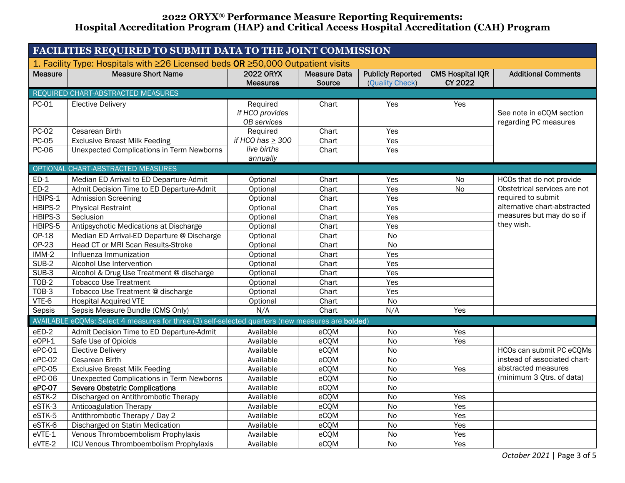<span id="page-2-0"></span>

| <b>FACILITIES REQUIRED TO SUBMIT DATA TO THE JOINT COMMISSION</b>               |                                                                                                   |                                                   |                               |                                             |                                    |                                                                                                              |  |
|---------------------------------------------------------------------------------|---------------------------------------------------------------------------------------------------|---------------------------------------------------|-------------------------------|---------------------------------------------|------------------------------------|--------------------------------------------------------------------------------------------------------------|--|
| 1. Facility Type: Hospitals with ≥26 Licensed beds OR ≥50,000 Outpatient visits |                                                                                                   |                                                   |                               |                                             |                                    |                                                                                                              |  |
| <b>Measure</b>                                                                  | <b>Measure Short Name</b>                                                                         | <b>2022 ORYX</b><br><b>Measures</b>               | <b>Measure Data</b><br>Source | <b>Publicly Reported</b><br>(Ouality Check) | <b>CMS Hospital IQR</b><br>CY 2022 | <b>Additional Comments</b>                                                                                   |  |
| REQUIRED CHART-ABSTRACTED MEASURES                                              |                                                                                                   |                                                   |                               |                                             |                                    |                                                                                                              |  |
| PC-01                                                                           | <b>Elective Delivery</b>                                                                          | Required<br>if HCO provides<br><b>OB</b> services | Chart                         | Yes                                         | Yes                                | See note in eCQM section<br>regarding PC measures                                                            |  |
| <b>PC-02</b>                                                                    | Cesarean Birth                                                                                    | Required                                          | Chart                         | Yes                                         |                                    |                                                                                                              |  |
| <b>PC-05</b>                                                                    | <b>Exclusive Breast Milk Feeding</b>                                                              | if HCO has $\geq$ 300                             | Chart                         | Yes                                         |                                    |                                                                                                              |  |
| <b>PC-06</b>                                                                    | <b>Unexpected Complications in Term Newborns</b>                                                  | live births<br>annually                           | Chart                         | Yes                                         |                                    |                                                                                                              |  |
|                                                                                 | OPTIONAL CHART-ABSTRACTED MEASURES                                                                |                                                   |                               |                                             |                                    |                                                                                                              |  |
| $ED-1$                                                                          | Median ED Arrival to ED Departure-Admit                                                           | Optional                                          | Chart                         | Yes                                         | <b>No</b>                          | HCOs that do not provide                                                                                     |  |
| $ED-2$                                                                          | Admit Decision Time to ED Departure-Admit                                                         | Optional                                          | Chart                         | Yes                                         | <b>No</b>                          | Obstetrical services are not                                                                                 |  |
| HBIPS-1                                                                         | <b>Admission Screening</b>                                                                        | Optional                                          | Chart                         | Yes                                         |                                    | required to submit                                                                                           |  |
| HBIPS-2                                                                         | <b>Physical Restraint</b>                                                                         | Optional                                          | Chart                         | Yes                                         |                                    | alternative chart-abstracted                                                                                 |  |
| HBIPS-3                                                                         | Seclusion                                                                                         | Optional                                          | Chart                         | Yes                                         |                                    | measures but may do so if<br>they wish.                                                                      |  |
| HBIPS-5                                                                         | Antipsychotic Medications at Discharge                                                            | Optional                                          | Chart                         | Yes                                         |                                    |                                                                                                              |  |
| OP-18                                                                           | Median ED Arrival-ED Departure @ Discharge                                                        | Optional                                          | Chart                         | No                                          |                                    |                                                                                                              |  |
| OP-23                                                                           | Head CT or MRI Scan Results-Stroke                                                                | Optional                                          | Chart                         | No                                          |                                    |                                                                                                              |  |
| $IMM-2$                                                                         | Influenza Immunization                                                                            | Optional                                          | Chart                         | Yes                                         |                                    |                                                                                                              |  |
| $SUB-2$                                                                         | Alcohol Use Intervention                                                                          | Optional                                          | Chart                         | Yes                                         |                                    |                                                                                                              |  |
| $SUB-3$                                                                         | Alcohol & Drug Use Treatment @ discharge                                                          | Optional                                          | Chart                         | Yes                                         |                                    |                                                                                                              |  |
| <b>TOB-2</b>                                                                    | <b>Tobacco Use Treatment</b>                                                                      | Optional                                          | Chart                         | Yes                                         |                                    |                                                                                                              |  |
| <b>TOB-3</b>                                                                    | Tobacco Use Treatment @ discharge                                                                 | Optional                                          | Chart                         | Yes                                         |                                    |                                                                                                              |  |
| VTE-6                                                                           | <b>Hospital Acquired VTE</b>                                                                      | Optional                                          | Chart                         | No                                          |                                    |                                                                                                              |  |
| Sepsis                                                                          | Sepsis Measure Bundle (CMS Only)                                                                  | N/A                                               | Chart                         | N/A                                         | Yes                                |                                                                                                              |  |
|                                                                                 | AVAILABLE eCQMs: Select 4 measures for three (3) self-selected quarters (new measures are bolded) |                                                   |                               |                                             |                                    |                                                                                                              |  |
| eED-2                                                                           | Admit Decision Time to ED Departure-Admit                                                         | Available                                         | eCQM                          | No                                          | Yes                                |                                                                                                              |  |
| $eOPI-1$                                                                        | Safe Use of Opioids                                                                               | Available                                         | eCQM                          | <b>No</b>                                   | Yes                                |                                                                                                              |  |
| $ePC-01$                                                                        | <b>Elective Delivery</b>                                                                          | Available                                         | eCQM                          | <b>No</b>                                   |                                    | HCOs can submit PC eCQMs<br>instead of associated chart-<br>abstracted measures<br>(minimum 3 Qtrs. of data) |  |
| ePC-02                                                                          | Cesarean Birth                                                                                    | Available                                         | eCQM                          | <b>No</b>                                   |                                    |                                                                                                              |  |
| $ePC-05$                                                                        | <b>Exclusive Breast Milk Feeding</b>                                                              | Available                                         | eCQM                          | $\overline{No}$                             | Yes                                |                                                                                                              |  |
| $ePC-06$                                                                        | <b>Unexpected Complications in Term Newborns</b>                                                  | Available                                         | eCQM                          | $\overline{N}$                              |                                    |                                                                                                              |  |
| ePC-07                                                                          | <b>Severe Obstetric Complications</b>                                                             | Available                                         | eCQM                          | <b>No</b>                                   |                                    |                                                                                                              |  |
| eSTK-2                                                                          | Discharged on Antithrombotic Therapy                                                              | Available                                         | eCQM                          | <b>No</b>                                   | Yes                                |                                                                                                              |  |
| $eSTK-3$                                                                        | <b>Anticoagulation Therapy</b>                                                                    | Available                                         | eCQM                          | <b>No</b>                                   | Yes                                |                                                                                                              |  |
| eSTK-5                                                                          | Antithrombotic Therapy / Day 2                                                                    | Available                                         | eCQM                          | $\overline{No}$                             | Yes                                |                                                                                                              |  |
| eSTK-6                                                                          | Discharged on Statin Medication                                                                   | Available                                         | eCQM                          | <b>No</b>                                   | Yes                                |                                                                                                              |  |
| eVTE-1                                                                          | Venous Thromboembolism Prophylaxis                                                                | Available                                         | eCQM                          | No                                          | Yes                                |                                                                                                              |  |
| $eVTE-2$                                                                        | ICU Venous Thromboembolism Prophylaxis                                                            | Available                                         | eCQM                          | No                                          | Yes                                |                                                                                                              |  |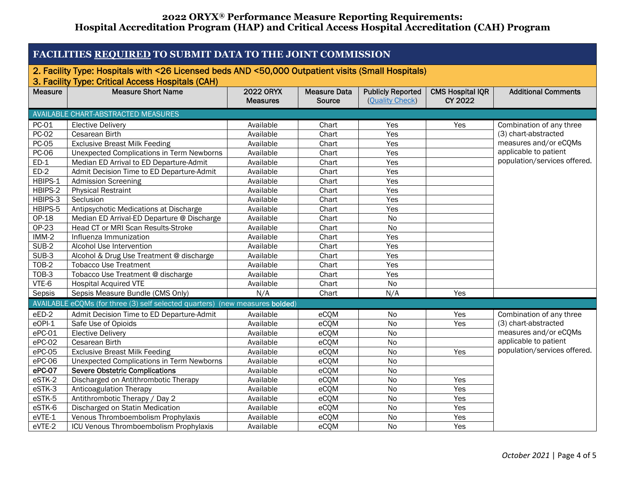<span id="page-3-0"></span>

| FACILITIES REQUIRED TO SUBMIT DATA TO THE JOINT COMMISSION                                         |                                                                              |                                     |                     |                          |                                           |                              |  |  |
|----------------------------------------------------------------------------------------------------|------------------------------------------------------------------------------|-------------------------------------|---------------------|--------------------------|-------------------------------------------|------------------------------|--|--|
| 2. Facility Type: Hospitals with <26 Licensed beds AND <50,000 Outpatient visits (Small Hospitals) |                                                                              |                                     |                     |                          |                                           |                              |  |  |
| 3. Facility Type: Critical Access Hospitals (CAH)                                                  |                                                                              |                                     |                     |                          |                                           |                              |  |  |
| <b>Measure</b>                                                                                     | <b>Measure Short Name</b>                                                    | <b>2022 ORYX</b><br><b>Measures</b> | <b>Measure Data</b> | <b>Publicly Reported</b> | <b>CMS Hospital IQR</b><br><b>CY 2022</b> | <b>Additional Comments</b>   |  |  |
|                                                                                                    |                                                                              |                                     | Source              | (Quality Check)          |                                           |                              |  |  |
|                                                                                                    | AVAILABLE CHART-ABSTRACTED MEASURES                                          |                                     |                     |                          |                                           |                              |  |  |
| PC-01                                                                                              | <b>Elective Delivery</b>                                                     | Available                           | Chart               | Yes                      | Yes                                       | Combination of any three     |  |  |
| <b>PC-02</b>                                                                                       | Cesarean Birth                                                               | Available                           | Chart               | Yes                      |                                           | (3) chart-abstracted         |  |  |
| <b>PC-05</b>                                                                                       | <b>Exclusive Breast Milk Feeding</b>                                         | Available                           | Chart               | Yes                      |                                           | measures and/or eCQMs        |  |  |
| PC-06                                                                                              | <b>Unexpected Complications in Term Newborns</b>                             | Available                           | Chart               | Yes                      |                                           | applicable to patient        |  |  |
| $ED-1$                                                                                             | Median ED Arrival to ED Departure-Admit                                      | Available                           | Chart               | Yes                      |                                           | population/services offered. |  |  |
| $ED-2$                                                                                             | Admit Decision Time to ED Departure-Admit                                    | Available                           | Chart               | Yes                      |                                           |                              |  |  |
| HBIPS-1                                                                                            | <b>Admission Screening</b>                                                   | Available                           | Chart               | Yes                      |                                           |                              |  |  |
| HBIPS-2                                                                                            | <b>Physical Restraint</b>                                                    | Available                           | Chart               | Yes                      |                                           |                              |  |  |
| HBIPS-3                                                                                            | Seclusion                                                                    | Available                           | Chart               | Yes                      |                                           |                              |  |  |
| HBIPS-5                                                                                            | Antipsychotic Medications at Discharge                                       | Available                           | Chart               | Yes                      |                                           |                              |  |  |
| $OP-18$                                                                                            | Median ED Arrival-ED Departure @ Discharge                                   | Available                           | Chart               | $\overline{N}$           |                                           |                              |  |  |
| $OP-23$                                                                                            | Head CT or MRI Scan Results-Stroke                                           | Available                           | Chart               | <b>No</b>                |                                           |                              |  |  |
| $IMM-2$                                                                                            | Influenza Immunization                                                       | Available                           | Chart               | Yes                      |                                           |                              |  |  |
| SUB-2                                                                                              | Alcohol Use Intervention                                                     | Available                           | Chart               | Yes                      |                                           |                              |  |  |
| $SUB-3$                                                                                            | Alcohol & Drug Use Treatment @ discharge                                     | Available                           | Chart               | Yes                      |                                           |                              |  |  |
| TOB-2                                                                                              | <b>Tobacco Use Treatment</b>                                                 | Available                           | Chart               | Yes                      |                                           |                              |  |  |
| TOB-3                                                                                              | Tobacco Use Treatment @ discharge                                            | Available                           | Chart               | Yes                      |                                           |                              |  |  |
| VTE-6                                                                                              | <b>Hospital Acquired VTE</b>                                                 | Available                           | Chart               | <b>No</b>                |                                           |                              |  |  |
| Sepsis                                                                                             | Sepsis Measure Bundle (CMS Only)                                             | N/A                                 | Chart               | N/A                      | Yes                                       |                              |  |  |
|                                                                                                    | AVAILABLE eCOMs (for three (3) self selected quarters) (new measures bolded) |                                     |                     |                          |                                           |                              |  |  |
| eED-2                                                                                              | Admit Decision Time to ED Departure-Admit                                    | Available                           | eCQM                | <b>No</b>                | Yes                                       | Combination of any three     |  |  |
| eOPI-1                                                                                             | Safe Use of Opioids                                                          | Available                           | eCQM                | <b>No</b>                | Yes                                       | (3) chart-abstracted         |  |  |
| ePC-01                                                                                             | <b>Elective Delivery</b>                                                     | Available                           | eCQM                | <b>No</b>                |                                           | measures and/or eCQMs        |  |  |
| $ePC-02$                                                                                           | Cesarean Birth                                                               | Available                           | eCQM                | $\overline{N}$           |                                           | applicable to patient        |  |  |
| ePC-05                                                                                             | <b>Exclusive Breast Milk Feeding</b>                                         | Available                           | eCQM                | <b>No</b>                | Yes                                       | population/services offered. |  |  |
| ePC-06                                                                                             | <b>Unexpected Complications in Term Newborns</b>                             | Available                           | eCQM                | <b>No</b>                |                                           |                              |  |  |
| $ePC-07$                                                                                           | <b>Severe Obstetric Complications</b>                                        | Available                           | eCQM                | <b>No</b>                |                                           |                              |  |  |
| eSTK-2                                                                                             | Discharged on Antithrombotic Therapy                                         | Available                           | eCQM                | <b>No</b>                | Yes                                       |                              |  |  |
| eSTK-3                                                                                             | <b>Anticoagulation Therapy</b>                                               | Available                           | eCQM                | No                       | Yes                                       |                              |  |  |
| eSTK-5                                                                                             | Antithrombotic Therapy / Day 2                                               | Available                           | eCQM                | No                       | Yes                                       |                              |  |  |
| eSTK-6                                                                                             | Discharged on Statin Medication                                              | Available                           | eCQM                | $\overline{N}$           | Yes                                       |                              |  |  |
| eVTE-1                                                                                             | Venous Thromboembolism Prophylaxis                                           | Available                           | eCQM                | <b>No</b>                | Yes                                       |                              |  |  |
| eVTE-2                                                                                             | ICU Venous Thromboembolism Prophylaxis                                       | Available                           | eCQM                | <b>No</b>                | Yes                                       |                              |  |  |